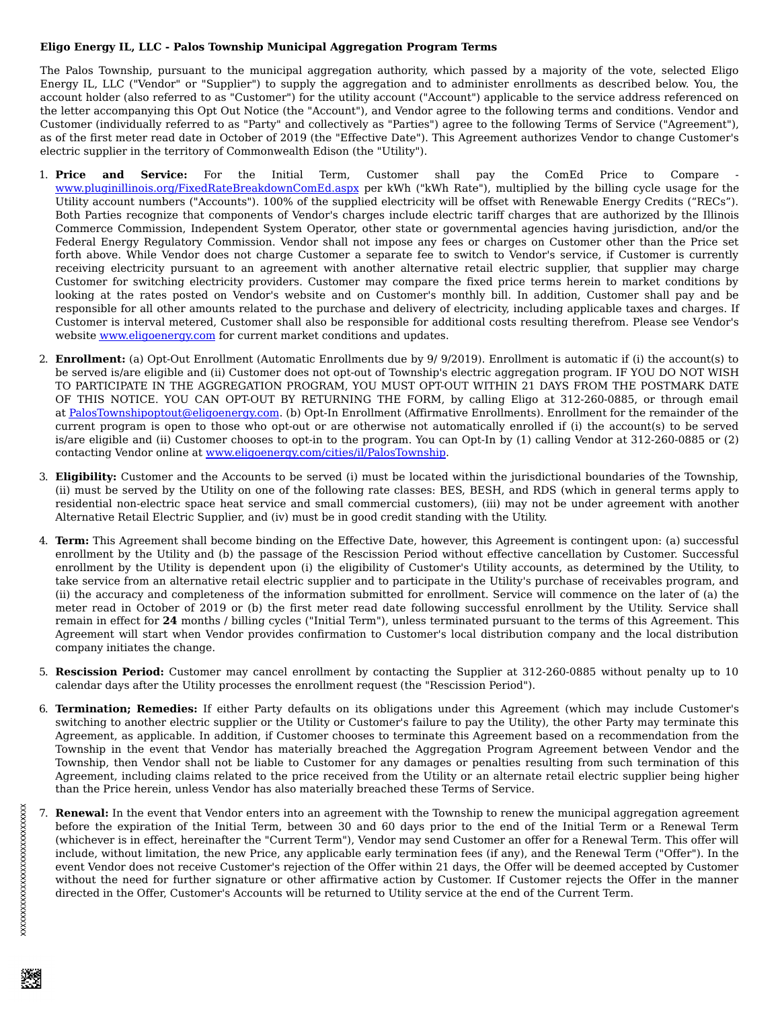## **Eligo Energy IL, LLC - Palos Township Municipal Aggregation Program Terms**

The Palos Township, pursuant to the municipal aggregation authority, which passed by a majority of the vote, selected Eligo Energy IL, LLC ("Vendor" or "Supplier") to supply the aggregation and to administer enrollments as described below. You, the account holder (also referred to as "Customer") for the utility account ("Account") applicable to the service address referenced on the letter accompanying this Opt Out Notice (the "Account"), and Vendor agree to the following terms and conditions. Vendor and Customer (individually referred to as "Party" and collectively as "Parties") agree to the following Terms of Service ("Agreement"), as of the first meter read date in October of 2019 (the "Effective Date"). This Agreement authorizes Vendor to change Customer's electric supplier in the territory of Commonwealth Edison (the "Utility").

- 1. **Price and Service:** For the Initial Term, Customer shall pay the ComEd Price to Compare www.pluginillinois.org/FixedRateBreakdownComEd.aspx per kWh ("kWh Rate"), multiplied by the billing cycle usage for the Utility account numbers ("Accounts"). 100% of the supplied electricity will be offset with Renewable Energy Credits ("RECs"). Both Parties recognize that components of Vendor's charges include electric tariff charges that are authorized by the Illinois Commerce Commission, Independent System Operator, other state or governmental agencies having jurisdiction, and/or the Federal Energy Regulatory Commission. Vendor shall not impose any fees or charges on Customer other than the Price set forth above. While Vendor does not charge Customer a separate fee to switch to Vendor's service, if Customer is currently receiving electricity pursuant to an agreement with another alternative retail electric supplier, that supplier may charge Customer for switching electricity providers. Customer may compare the fixed price terms herein to market conditions by looking at the rates posted on Vendor's website and on Customer's monthly bill. In addition, Customer shall pay and be responsible for all other amounts related to the purchase and delivery of electricity, including applicable taxes and charges. If Customer is interval metered, Customer shall also be responsible for additional costs resulting therefrom. Please see Vendor's website www.eligoenergy.com for current market conditions and updates.
- 2. **Enrollment:** (a) Opt-Out Enrollment (Automatic Enrollments due by 9/ 9/2019). Enrollment is automatic if (i) the account(s) to be served is/are eligible and (ii) Customer does not opt-out of Township's electric aggregation program. IF YOU DO NOT WISH TO PARTICIPATE IN THE AGGREGATION PROGRAM, YOU MUST OPT-OUT WITHIN 21 DAYS FROM THE POSTMARK DATE OF THIS NOTICE. YOU CAN OPT-OUT BY RETURNING THE FORM, by calling Eligo at 312-260-0885, or through email at PalosTownshipoptout@eligoenergy.com. (b) Opt-In Enrollment (Affirmative Enrollments). Enrollment for the remainder of the current program is open to those who opt-out or are otherwise not automatically enrolled if (i) the account(s) to be served is/are eligible and (ii) Customer chooses to opt-in to the program. You can Opt-In by (1) calling Vendor at 312-260-0885 or (2) contacting Vendor online at www.eligoenergy.com/cities/il/PalosTownship.
- 3. **Eligibility:** Customer and the Accounts to be served (i) must be located within the jurisdictional boundaries of the Township, (ii) must be served by the Utility on one of the following rate classes: BES, BESH, and RDS (which in general terms apply to residential non-electric space heat service and small commercial customers), (iii) may not be under agreement with another Alternative Retail Electric Supplier, and (iv) must be in good credit standing with the Utility.
- 4. **Term:** This Agreement shall become binding on the Effective Date, however, this Agreement is contingent upon: (a) successful enrollment by the Utility and (b) the passage of the Rescission Period without effective cancellation by Customer. Successful enrollment by the Utility is dependent upon (i) the eligibility of Customer's Utility accounts, as determined by the Utility, to take service from an alternative retail electric supplier and to participate in the Utility's purchase of receivables program, and (ii) the accuracy and completeness of the information submitted for enrollment. Service will commence on the later of (a) the meter read in October of 2019 or (b) the first meter read date following successful enrollment by the Utility. Service shall remain in effect for **24** months / billing cycles ("Initial Term"), unless terminated pursuant to the terms of this Agreement. This Agreement will start when Vendor provides confirmation to Customer's local distribution company and the local distribution company initiates the change.
- 5. **Rescission Period:** Customer may cancel enrollment by contacting the Supplier at 312-260-0885 without penalty up to 10 calendar days after the Utility processes the enrollment request (the "Rescission Period").
- 6. **Termination; Remedies:** If either Party defaults on its obligations under this Agreement (which may include Customer's switching to another electric supplier or the Utility or Customer's failure to pay the Utility), the other Party may terminate this Agreement, as applicable. In addition, if Customer chooses to terminate this Agreement based on a recommendation from the Township in the event that Vendor has materially breached the Aggregation Program Agreement between Vendor and the Township, then Vendor shall not be liable to Customer for any damages or penalties resulting from such termination of this Agreement, including claims related to the price received from the Utility or an alternate retail electric supplier being higher than the Price herein, unless Vendor has also materially breached these Terms of Service.
- 7. **Renewal:** In the event that Vendor enters into an agreement with the Township to renew the municipal aggregation agreement before the expiration of the Initial Term, between 30 and 60 days prior to the end of the Initial Term or a Renewal Term (whichever is in effect, hereinafter the "Current Term"), Vendor may send Customer an offer for a Renewal Term. This offer will include, without limitation, the new Price, any applicable early termination fees (if any), and the Renewal Term ("Offer"). In the event Vendor does not receive Customer's rejection of the Offer within 21 days, the Offer will be deemed accepted by Customer without the need for further signature or other affirmative action by Customer. If Customer rejects the Offer in the manner directed in the Offer, Customer's Accounts will be returned to Utility service at the end of the Current Term.